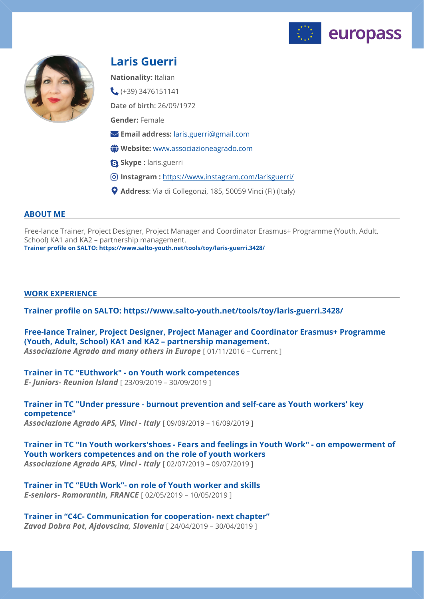



## **Laris Guerri**

**Nationality:** Italian

**Date of birth:** 26/09/1972 **Gender:** Female  $( +39)$  3476151141

- **Email address:** [laris.guerri@gmail.com](mailto:laris.guerri@gmail.com)
- **Website:** [www.associazioneagrado.com](http://www.associazioneagrado.com)
- **Skype :** laris.guerri
- **Instagram :** <https://www.instagram.com/larisguerri/>
- **Address**: Via di Collegonzi, 185, 50059 Vinci (FI) (Italy)

## **ABOUT ME**

Free-lance Trainer, Project Designer, Project Manager and Coordinator Erasmus+ Programme (Youth, Adult, School) KA1 and KA2 – partnership management. **Trainer profile on SALTO: https://www.salto-youth.net/tools/toy/laris-guerri.3428/**

## **WORK EXPERIENCE**

**Trainer profile on SALTO: https://www.salto-youth.net/tools/toy/laris-guerri.3428/** 

**Free-lance Trainer, Project Designer, Project Manager and Coordinator Erasmus+ Programme (Youth, Adult, School) KA1 and KA2 – partnership management.**  Associazione Agrado and many others in Europe [01/11/2016 - Current ]

# **Trainer in TC "EUthwork" - on Youth work competences**

*E- Juniors- Reunion Island* [ 23/09/2019 – 30/09/2019 ]

**Trainer in TC "Under pressure - burnout prevention and self-care as Youth workers' key competence"**  *Associazione Agrado APS, Vinci - Italy* [ 09/09/2019 – 16/09/2019 ]

**Trainer in TC "In Youth workers'shoes - Fears and feelings in Youth Work" - on empowerment of Youth workers competences and on the role of youth workers**  *Associazione Agrado APS, Vinci - Italy* [ 02/07/2019 – 09/07/2019 ]

**Trainer in TC "EUth Work"- on role of Youth worker and skills**  *E-seniors- Romorantin, FRANCE* [ 02/05/2019 – 10/05/2019 ]

**Trainer in "C4C- Communication for cooperation- next chapter"**  *Zavod Dobra Pot, Ajdovscina, Slovenia* [ 24/04/2019 – 30/04/2019 ]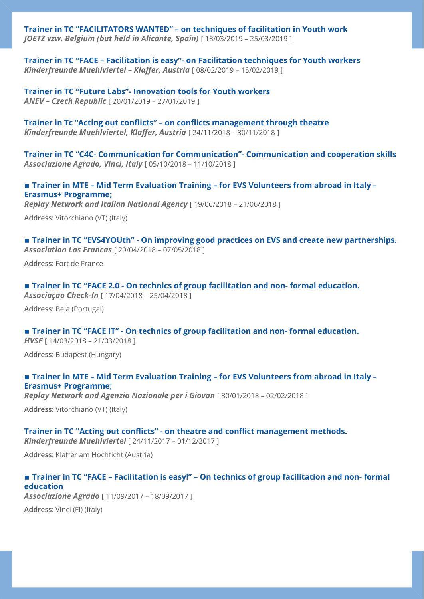**Trainer in TC "FACILITATORS WANTED" – on techniques of facilitation in Youth work**  *JOETZ vzw. Belgium (but held in Alicante, Spain)* [ 18/03/2019 – 25/03/2019 ]

**Trainer in TC "FACE – Facilitation is easy"- on Facilitation techniques for Youth workers**  *Kinderfreunde Muehlviertel – Klaffer, Austria* [ 08/02/2019 – 15/02/2019 ]

**Trainer in TC "Future Labs"- Innovation tools for Youth workers**  *ANEV – Czech Republic* [ 20/01/2019 – 27/01/2019 ]

**Trainer in Tc "Acting out conflicts" – on conflicts management through theatre**  *Kinderfreunde Muehlviertel, Klaffer, Austria* [ 24/11/2018 – 30/11/2018 ]

**Trainer in TC "C4C- Communication for Communication"- Communication and cooperation skills**  *Associazione Agrado, Vinci, Italy* [ 05/10/2018 – 11/10/2018 ]

**▪ Trainer in MTE – Mid Term Evaluation Training – for EVS Volunteers from abroad in Italy – Erasmus+ Programme;** 

*Replay Network and Italian National Agency* [ 19/06/2018 – 21/06/2018 ]

**Address**: Vitorchiano (VT) (Italy)

■ **Trainer in TC "EVS4YOUth" - On improving good practices on EVS and create new partnerships.** *Association Las Francas* [ 29/04/2018 – 07/05/2018 ]

**Address**: Fort de France

■ **Trainer in TC "FACE 2.0 - On technics of group facilitation and non- formal education.** *Associaçao Check-In* [ 17/04/2018 – 25/04/2018 ]

**Address**: Beja (Portugal)

### ■ **Trainer in TC "FACE IT" - On technics of group facilitation and non- formal education.**

*HVSF* [ 14/03/2018 – 21/03/2018 ]

**Address**: Budapest (Hungary)

#### **▪ Trainer in MTE – Mid Term Evaluation Training – for EVS Volunteers from abroad in Italy – Erasmus+ Programme;**

**Replay Network and Agenzia Nazionale per i Giovan** [ 30/01/2018 - 02/02/2018 ]

**Address**: Vitorchiano (VT) (Italy)

## **Trainer in TC "Acting out conflicts" - on theatre and conflict management methods.**

*Kinderfreunde Muehlviertel* [ 24/11/2017 – 01/12/2017 ]

**Address**: Klaffer am Hochficht (Austria)

## ■ **Trainer in TC "FACE – Facilitation is easy!" – On technics of group facilitation and non- formal education**  *Associazione Agrado* [ 11/09/2017 – 18/09/2017 ]

**Address**: Vinci (FI) (Italy)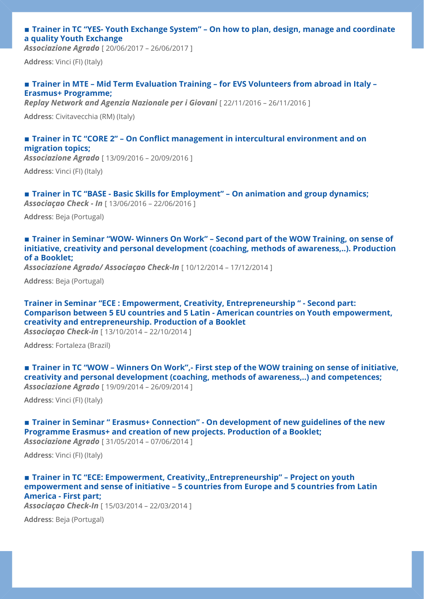## ■ **Trainer in TC "YES- Youth Exchange System" – On how to plan, design, manage and coordinate a quality Youth Exchange**

*Associazione Agrado* [ 20/06/2017 – 26/06/2017 ]

**Address**: Vinci (FI) (Italy)

## **▪ Trainer in MTE – Mid Term Evaluation Training – for EVS Volunteers from abroad in Italy – Erasmus+ Programme;**

**Replay Network and Agenzia Nazionale per i Giovani** [22/11/2016 - 26/11/2016 ]

**Address**: Civitavecchia (RM) (Italy)

## ■ **Trainer in TC "CORE 2" – On Conflict management in intercultural environment and on migration topics;**

*Associazione Agrado* [ 13/09/2016 – 20/09/2016 ]

**Address**: Vinci (FI) (Italy)

### ■ **Trainer in TC "BASE - Basic Skills for Employment" – On animation and group dynamics;**

*Associaçao Check - In* [ 13/06/2016 – 22/06/2016 ]

**Address**: Beja (Portugal)

## **▪ Trainer in Seminar "WOW- Winners On Work" – Second part of the WOW Training, on sense of initiative, creativity and personal development (coaching, methods of awareness,..). Production of a Booklet;**

*Associazione Agrado/ Associaçao Check-In* [ 10/12/2014 – 17/12/2014 ]

**Address**: Beja (Portugal)

**Trainer in Seminar "ECE : Empowerment, Creativity, Entrepreneurship " - Second part: Comparison between 5 EU countries and 5 Latin - American countries on Youth empowerment, creativity and entrepreneurship. Production of a Booklet** 

*Associaçao Check-in* [ 13/10/2014 – 22/10/2014 ]

**Address**: Fortaleza (Brazil)

■ **Trainer in TC "WOW – Winners On Work",** First step of the WOW training on sense of initiative, **creativity and personal development (coaching, methods of awareness,..) and competences;**  *Associazione Agrado* [ 19/09/2014 – 26/09/2014 ]

**Address**: Vinci (FI) (Italy)

## ■ **Trainer in Seminar " Erasmus+ Connection" - On development of new guidelines of the new Programme Erasmus+ and creation of new projects. Production of a Booklet;**

*Associazione Agrado* [ 31/05/2014 – 07/06/2014 ]

**Address**: Vinci (FI) (Italy)

## ■ **Trainer in TC "ECE: Empowerment, Creativity,,Entrepreneurship" – Project on youth empowerment and sense of initiative – 5 countries from Europe and 5 countries from Latin America - First part;**

*Associaçao Check-In* [ 15/03/2014 – 22/03/2014 ]

**Address**: Beja (Portugal)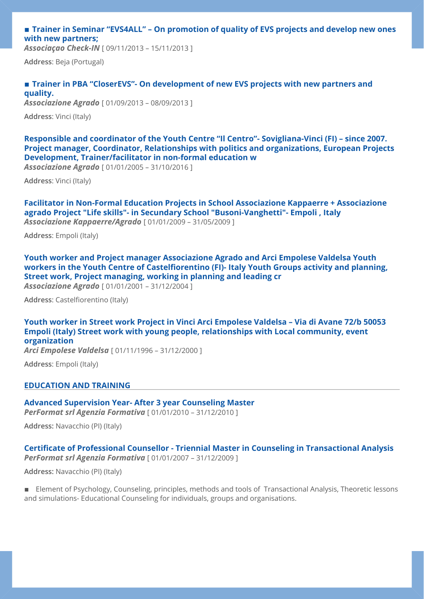## ■ **Trainer in Seminar "EVS4ALL" – On promotion of quality of EVS projects and develop new ones with new partners;**

*Associaçao Check-IN* [ 09/11/2013 – 15/11/2013 ]

**Address**: Beja (Portugal)

## **▪ Trainer in PBA "CloserEVS"- On development of new EVS projects with new partners and quality.**

*Associazione Agrado* [ 01/09/2013 – 08/09/2013 ]

**Address**: Vinci (Italy)

**Responsible and coordinator of the Youth Centre "Il Centro"- Sovigliana-Vinci (FI) – since 2007. Project manager, Coordinator, Relationships with politics and organizations, European Projects Development, Trainer/facilitator in non-formal education w** 

*Associazione Agrado* [ 01/01/2005 – 31/10/2016 ]

**Address**: Vinci (Italy)

**Facilitator in Non-Formal Education Projects in School Associazione Kappaerre + Associazione agrado Project "Life skills"- in Secundary School "Busoni-Vanghetti"- Empoli , Italy**  *Associazione Kappaerre/Agrado* [ 01/01/2009 – 31/05/2009 ]

**Address**: Empoli (Italy)

**Youth worker and Project manager Associazione Agrado and Arci Empolese Valdelsa Youth workers in the Youth Centre of Castelfiorentino (FI)- Italy Youth Groups activity and planning, Street work, Project managing, working in planning and leading cr** 

*Associazione Agrado* [ 01/01/2001 – 31/12/2004 ]

**Address**: Castelfiorentino (Italy)

**Youth worker in Street work Project in Vinci Arci Empolese Valdelsa – Via di Avane 72/b 50053 Empoli (Italy) Street work with young people, relationships with Local community, event organization** 

*Arci Empolese Valdelsa* [ 01/11/1996 – 31/12/2000 ]

**Address**: Empoli (Italy)

### **EDUCATION AND TRAINING**

#### **Advanced Supervision Year- After 3 year Counseling Master**

*PerFormat srl Agenzia Formativa* [ 01/01/2010 – 31/12/2010 ]

**Address:** Navacchio (PI) (Italy)

**Certificate of Professional Counsellor - Triennial Master in Counseling in Transactional Analysis**  *PerFormat srl Agenzia Formativa* [ 01/01/2007 – 31/12/2009 ]

**Address:** Navacchio (PI) (Italy)

**Element of Psychology, Counseling, principles, methods and tools of Transactional Analysis, Theoretic lessons** and simulations- Educational Counseling for individuals, groups and organisations.